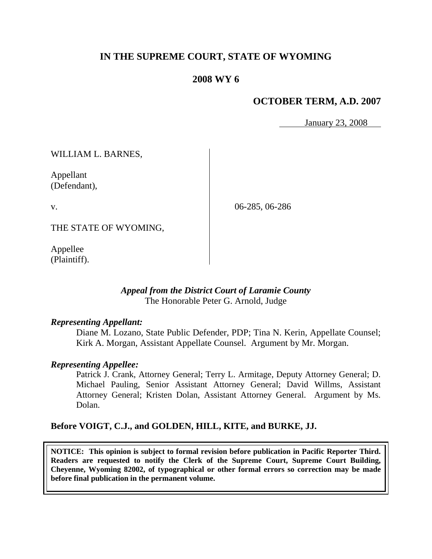# **IN THE SUPREME COURT, STATE OF WYOMING**

# **2008 WY 6**

# **OCTOBER TERM, A.D. 2007**

January 23, 2008

WILLIAM L. BARNES,

Appellant (Defendant),

v.

06-285, 06-286

THE STATE OF WYOMING,

Appellee (Plaintiff).

## *Appeal from the District Court of Laramie County* The Honorable Peter G. Arnold, Judge

## *Representing Appellant:*

Diane M. Lozano, State Public Defender, PDP; Tina N. Kerin, Appellate Counsel; Kirk A. Morgan, Assistant Appellate Counsel. Argument by Mr. Morgan.

## *Representing Appellee:*

Patrick J. Crank, Attorney General; Terry L. Armitage, Deputy Attorney General; D. Michael Pauling, Senior Assistant Attorney General; David Willms, Assistant Attorney General; Kristen Dolan, Assistant Attorney General. Argument by Ms. Dolan.

## **Before VOIGT, C.J., and GOLDEN, HILL, KITE, and BURKE, JJ.**

**NOTICE: This opinion is subject to formal revision before publication in Pacific Reporter Third. Readers are requested to notify the Clerk of the Supreme Court, Supreme Court Building, Cheyenne, Wyoming 82002, of typographical or other formal errors so correction may be made before final publication in the permanent volume.**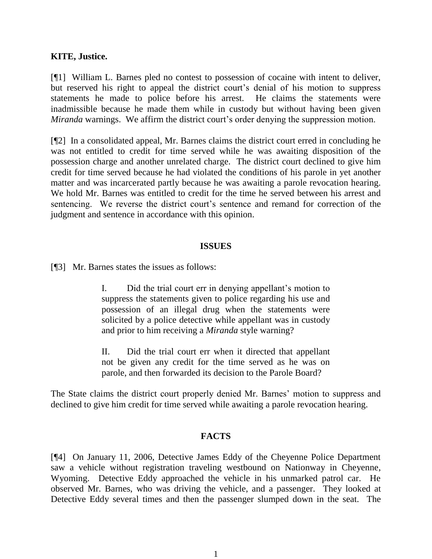## **KITE, Justice.**

[¶1] William L. Barnes pled no contest to possession of cocaine with intent to deliver, but reserved his right to appeal the district court's denial of his motion to suppress statements he made to police before his arrest. He claims the statements were inadmissible because he made them while in custody but without having been given *Miranda* warnings. We affirm the district court's order denying the suppression motion.

[¶2] In a consolidated appeal, Mr. Barnes claims the district court erred in concluding he was not entitled to credit for time served while he was awaiting disposition of the possession charge and another unrelated charge. The district court declined to give him credit for time served because he had violated the conditions of his parole in yet another matter and was incarcerated partly because he was awaiting a parole revocation hearing. We hold Mr. Barnes was entitled to credit for the time he served between his arrest and sentencing. We reverse the district court's sentence and remand for correction of the judgment and sentence in accordance with this opinion.

#### **ISSUES**

[¶3] Mr. Barnes states the issues as follows:

I. Did the trial court err in denying appellant's motion to suppress the statements given to police regarding his use and possession of an illegal drug when the statements were solicited by a police detective while appellant was in custody and prior to him receiving a *Miranda* style warning?

II. Did the trial court err when it directed that appellant not be given any credit for the time served as he was on parole, and then forwarded its decision to the Parole Board?

The State claims the district court properly denied Mr. Barnes' motion to suppress and declined to give him credit for time served while awaiting a parole revocation hearing.

## **FACTS**

[¶4] On January 11, 2006, Detective James Eddy of the Cheyenne Police Department saw a vehicle without registration traveling westbound on Nationway in Cheyenne, Wyoming. Detective Eddy approached the vehicle in his unmarked patrol car. He observed Mr. Barnes, who was driving the vehicle, and a passenger. They looked at Detective Eddy several times and then the passenger slumped down in the seat. The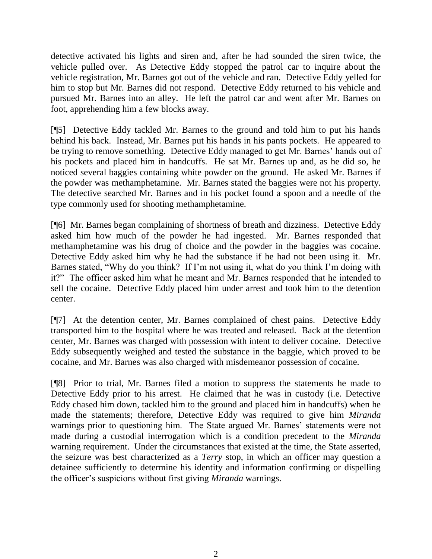detective activated his lights and siren and, after he had sounded the siren twice, the vehicle pulled over. As Detective Eddy stopped the patrol car to inquire about the vehicle registration, Mr. Barnes got out of the vehicle and ran. Detective Eddy yelled for him to stop but Mr. Barnes did not respond. Detective Eddy returned to his vehicle and pursued Mr. Barnes into an alley. He left the patrol car and went after Mr. Barnes on foot, apprehending him a few blocks away.

[¶5] Detective Eddy tackled Mr. Barnes to the ground and told him to put his hands behind his back. Instead, Mr. Barnes put his hands in his pants pockets. He appeared to be trying to remove something. Detective Eddy managed to get Mr. Barnes' hands out of his pockets and placed him in handcuffs. He sat Mr. Barnes up and, as he did so, he noticed several baggies containing white powder on the ground. He asked Mr. Barnes if the powder was methamphetamine. Mr. Barnes stated the baggies were not his property. The detective searched Mr. Barnes and in his pocket found a spoon and a needle of the type commonly used for shooting methamphetamine.

[¶6] Mr. Barnes began complaining of shortness of breath and dizziness. Detective Eddy asked him how much of the powder he had ingested. Mr. Barnes responded that methamphetamine was his drug of choice and the powder in the baggies was cocaine. Detective Eddy asked him why he had the substance if he had not been using it. Mr. Barnes stated, "Why do you think? If I'm not using it, what do you think I'm doing with it?" The officer asked him what he meant and Mr. Barnes responded that he intended to sell the cocaine. Detective Eddy placed him under arrest and took him to the detention center.

[¶7] At the detention center, Mr. Barnes complained of chest pains. Detective Eddy transported him to the hospital where he was treated and released. Back at the detention center, Mr. Barnes was charged with possession with intent to deliver cocaine. Detective Eddy subsequently weighed and tested the substance in the baggie, which proved to be cocaine, and Mr. Barnes was also charged with misdemeanor possession of cocaine.

[¶8] Prior to trial, Mr. Barnes filed a motion to suppress the statements he made to Detective Eddy prior to his arrest. He claimed that he was in custody (i.e. Detective Eddy chased him down, tackled him to the ground and placed him in handcuffs) when he made the statements; therefore, Detective Eddy was required to give him *Miranda* warnings prior to questioning him. The State argued Mr. Barnes' statements were not made during a custodial interrogation which is a condition precedent to the *Miranda* warning requirement. Under the circumstances that existed at the time, the State asserted, the seizure was best characterized as a *Terry* stop, in which an officer may question a detainee sufficiently to determine his identity and information confirming or dispelling the officer's suspicions without first giving *Miranda* warnings.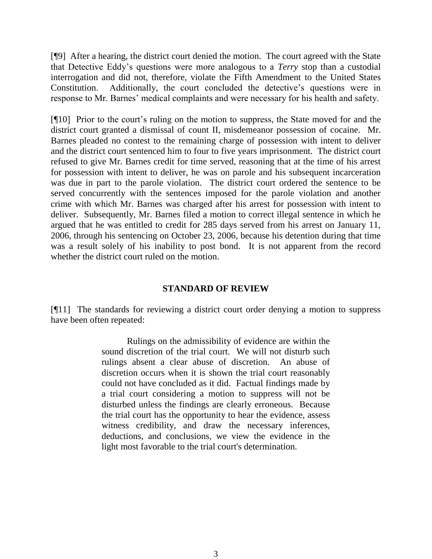[¶9] After a hearing, the district court denied the motion. The court agreed with the State that Detective Eddy's questions were more analogous to a *Terry* stop than a custodial interrogation and did not, therefore, violate the Fifth Amendment to the United States Constitution. Additionally, the court concluded the detective's questions were in response to Mr. Barnes' medical complaints and were necessary for his health and safety.

[¶10] Prior to the court's ruling on the motion to suppress, the State moved for and the district court granted a dismissal of count II, misdemeanor possession of cocaine. Mr. Barnes pleaded no contest to the remaining charge of possession with intent to deliver and the district court sentenced him to four to five years imprisonment. The district court refused to give Mr. Barnes credit for time served, reasoning that at the time of his arrest for possession with intent to deliver, he was on parole and his subsequent incarceration was due in part to the parole violation. The district court ordered the sentence to be served concurrently with the sentences imposed for the parole violation and another crime with which Mr. Barnes was charged after his arrest for possession with intent to deliver. Subsequently, Mr. Barnes filed a motion to correct illegal sentence in which he argued that he was entitled to credit for 285 days served from his arrest on January 11, 2006, through his sentencing on October 23, 2006, because his detention during that time was a result solely of his inability to post bond. It is not apparent from the record whether the district court ruled on the motion.

## **STANDARD OF REVIEW**

[¶11] The standards for reviewing a district court order denying a motion to suppress have been often repeated:

> Rulings on the admissibility of evidence are within the sound discretion of the trial court. We will not disturb such rulings absent a clear abuse of discretion. An abuse of discretion occurs when it is shown the trial court reasonably could not have concluded as it did. Factual findings made by a trial court considering a motion to suppress will not be disturbed unless the findings are clearly erroneous. Because the trial court has the opportunity to hear the evidence, assess witness credibility, and draw the necessary inferences, deductions, and conclusions, we view the evidence in the light most favorable to the trial court's determination.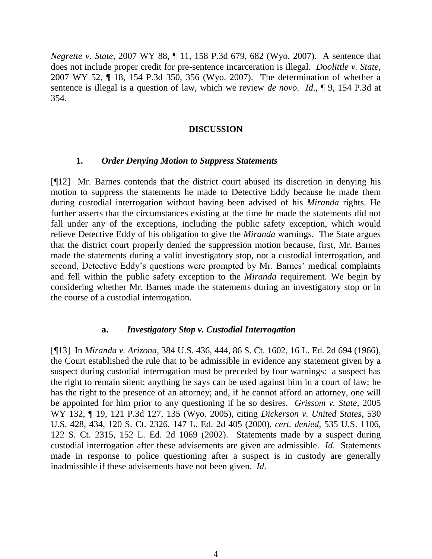*Negrette v. State*, 2007 WY 88, ¶ 11, 158 P.3d 679, 682 (Wyo. 2007). A sentence that does not include proper credit for pre-sentence incarceration is illegal. *Doolittle v. State*, 2007 WY 52, ¶ 18, 154 P.3d 350, 356 (Wyo. 2007). The determination of whether a sentence is illegal is a question of law, which we review *de novo*. *Id*., ¶ 9, 154 P.3d at 354.

#### **DISCUSSION**

#### **1.** *Order Denying Motion to Suppress Statements*

[¶12] Mr. Barnes contends that the district court abused its discretion in denying his motion to suppress the statements he made to Detective Eddy because he made them during custodial interrogation without having been advised of his *Miranda* rights. He further asserts that the circumstances existing at the time he made the statements did not fall under any of the exceptions, including the public safety exception, which would relieve Detective Eddy of his obligation to give the *Miranda* warnings. The State argues that the district court properly denied the suppression motion because, first, Mr. Barnes made the statements during a valid investigatory stop, not a custodial interrogation, and second, Detective Eddy's questions were prompted by Mr. Barnes' medical complaints and fell within the public safety exception to the *Miranda* requirement. We begin by considering whether Mr. Barnes made the statements during an investigatory stop or in the course of a custodial interrogation.

## **a.** *Investigatory Stop v. Custodial Interrogation*

[¶13] In *Miranda v. Arizona*, 384 U.S. 436, 444, 86 S. Ct. 1602, 16 L. Ed. 2d 694 (1966), the Court established the rule that to be admissible in evidence any statement given by a suspect during custodial interrogation must be preceded by four warnings: a suspect has the right to remain silent; anything he says can be used against him in a court of law; he has the right to the presence of an attorney; and, if he cannot afford an attorney, one will be appointed for him prior to any questioning if he so desires. *Grissom v. State*, 2005 WY 132, ¶ 19, 121 P.3d 127, 135 (Wyo. 2005), citing *Dickerson v. United States*, 530 U.S. 428, 434, 120 S. Ct. 2326, 147 L. Ed. 2d 405 (2000), *cert. denied*, 535 U.S. 1106, 122 S. Ct. 2315, 152 L. Ed. 2d 1069 (2002). Statements made by a suspect during custodial interrogation after these advisements are given are admissible. *Id*. Statements made in response to police questioning after a suspect is in custody are generally inadmissible if these advisements have not been given. *Id*.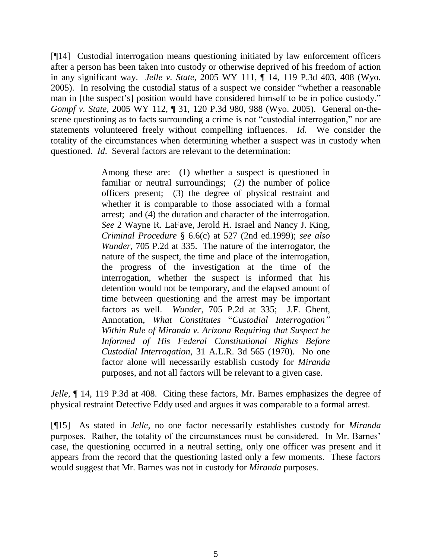[¶14] Custodial interrogation means questioning initiated by law enforcement officers after a person has been taken into custody or otherwise deprived of his freedom of action in any significant way. *Jelle v. State*, 2005 WY 111, ¶ 14, 119 P.3d 403, 408 (Wyo. 2005). In resolving the custodial status of a suspect we consider "whether a reasonable man in [the suspect's] position would have considered himself to be in police custody." *Gompf v. State*, 2005 WY 112, ¶ 31, 120 P.3d 980, 988 (Wyo. 2005). General on-thescene questioning as to facts surrounding a crime is not "custodial interrogation," nor are statements volunteered freely without compelling influences. *Id*. We consider the totality of the circumstances when determining whether a suspect was in custody when questioned. *Id*. Several factors are relevant to the determination:

> Among these are: (1) whether a suspect is questioned in familiar or neutral surroundings; (2) the number of police officers present; (3) the degree of physical restraint and whether it is comparable to those associated with a formal arrest; and (4) the duration and character of the interrogation. *See* 2 Wayne R. LaFave, Jerold H. Israel and Nancy J. King, *Criminal Procedure* § 6.6(c) at 527 (2nd ed.1999); *see also Wunder*, 705 P.2d at 335. The nature of the interrogator, the nature of the suspect, the time and place of the interrogation, the progress of the investigation at the time of the interrogation, whether the suspect is informed that his detention would not be temporary, and the elapsed amount of time between questioning and the arrest may be important factors as well. *Wunder*, 705 P.2d at 335; J.F. Ghent, Annotation, *What Constitutes* ―*Custodial Interrogation" Within Rule of Miranda v. Arizona Requiring that Suspect be Informed of His Federal Constitutional Rights Before Custodial Interrogation*, 31 A.L.R. 3d 565 (1970). No one factor alone will necessarily establish custody for *Miranda* purposes, and not all factors will be relevant to a given case.

*Jelle*,  $\P$  14, 119 P.3d at 408. Citing these factors, Mr. Barnes emphasizes the degree of physical restraint Detective Eddy used and argues it was comparable to a formal arrest.

[¶15] As stated in *Jelle*, no one factor necessarily establishes custody for *Miranda* purposes. Rather, the totality of the circumstances must be considered. In Mr. Barnes' case, the questioning occurred in a neutral setting, only one officer was present and it appears from the record that the questioning lasted only a few moments. These factors would suggest that Mr. Barnes was not in custody for *Miranda* purposes.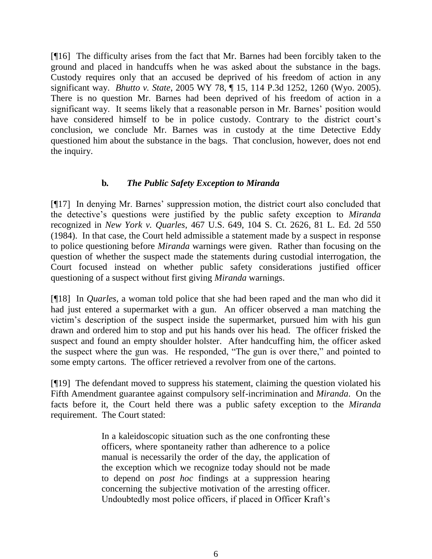[¶16] The difficulty arises from the fact that Mr. Barnes had been forcibly taken to the ground and placed in handcuffs when he was asked about the substance in the bags. Custody requires only that an accused be deprived of his freedom of action in any significant way. *Bhutto v. State*, 2005 WY 78, ¶ 15, 114 P.3d 1252, 1260 (Wyo. 2005). There is no question Mr. Barnes had been deprived of his freedom of action in a significant way. It seems likely that a reasonable person in Mr. Barnes' position would have considered himself to be in police custody. Contrary to the district court's conclusion, we conclude Mr. Barnes was in custody at the time Detective Eddy questioned him about the substance in the bags. That conclusion, however, does not end the inquiry.

## **b***. The Public Safety Exception to Miranda*

[¶17] In denying Mr. Barnes' suppression motion, the district court also concluded that the detective's questions were justified by the public safety exception to *Miranda* recognized in *New York v. Quarles*, 467 U.S. 649, 104 S. Ct. 2626, 81 L. Ed. 2d 550 (1984). In that case, the Court held admissible a statement made by a suspect in response to police questioning before *Miranda* warnings were given. Rather than focusing on the question of whether the suspect made the statements during custodial interrogation, the Court focused instead on whether public safety considerations justified officer questioning of a suspect without first giving *Miranda* warnings.

[¶18] In *Quarles*, a woman told police that she had been raped and the man who did it had just entered a supermarket with a gun. An officer observed a man matching the victim's description of the suspect inside the supermarket, pursued him with his gun drawn and ordered him to stop and put his hands over his head. The officer frisked the suspect and found an empty shoulder holster. After handcuffing him, the officer asked the suspect where the gun was. He responded, "The gun is over there," and pointed to some empty cartons. The officer retrieved a revolver from one of the cartons.

[¶19] The defendant moved to suppress his statement, claiming the question violated his Fifth Amendment guarantee against compulsory self-incrimination and *Miranda*. On the facts before it, the Court held there was a public safety exception to the *Miranda* requirement. The Court stated:

> In a kaleidoscopic situation such as the one confronting these officers, where spontaneity rather than adherence to a police manual is necessarily the order of the day, the application of the exception which we recognize today should not be made to depend on *post hoc* findings at a suppression hearing concerning the subjective motivation of the arresting officer. Undoubtedly most police officers, if placed in Officer Kraft's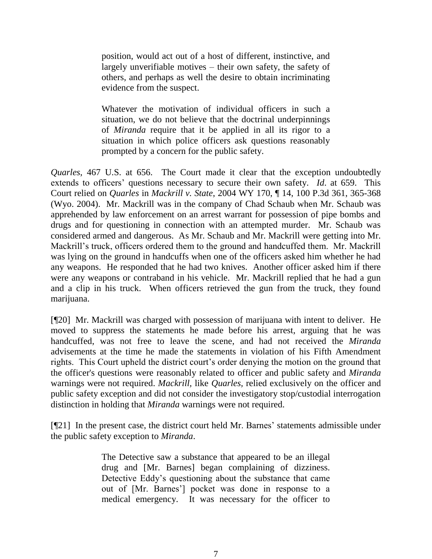position, would act out of a host of different, instinctive, and largely unverifiable motives – their own safety, the safety of others, and perhaps as well the desire to obtain incriminating evidence from the suspect.

Whatever the motivation of individual officers in such a situation, we do not believe that the doctrinal underpinnings of *Miranda* require that it be applied in all its rigor to a situation in which police officers ask questions reasonably prompted by a concern for the public safety.

*Quarles*, 467 U.S. at 656. The Court made it clear that the exception undoubtedly extends to officers' questions necessary to secure their own safety. *Id*. at 659. This Court relied on *Quarles* in *Mackrill v. State*, 2004 WY 170, ¶ 14, 100 P.3d 361, 365-368 (Wyo. 2004). Mr. Mackrill was in the company of Chad Schaub when Mr. Schaub was apprehended by law enforcement on an arrest warrant for possession of pipe bombs and drugs and for questioning in connection with an attempted murder. Mr. Schaub was considered armed and dangerous. As Mr. Schaub and Mr. Mackrill were getting into Mr. Mackrill's truck, officers ordered them to the ground and handcuffed them. Mr. Mackrill was lying on the ground in handcuffs when one of the officers asked him whether he had any weapons. He responded that he had two knives. Another officer asked him if there were any weapons or contraband in his vehicle. Mr. Mackrill replied that he had a gun and a clip in his truck. When officers retrieved the gun from the truck, they found marijuana.

[¶20] Mr. Mackrill was charged with possession of marijuana with intent to deliver. He moved to suppress the statements he made before his arrest, arguing that he was handcuffed, was not free to leave the scene, and had not received the *Miranda* advisements at the time he made the statements in violation of his Fifth Amendment rights. This Court upheld the district court's order denying the motion on the ground that the officer's questions were reasonably related to officer and public safety and *Miranda* warnings were not required. *Mackrill,* like *Quarles,* relied exclusively on the officer and public safety exception and did not consider the investigatory stop/custodial interrogation distinction in holding that *Miranda* warnings were not required.

[¶21] In the present case, the district court held Mr. Barnes' statements admissible under the public safety exception to *Miranda*.

> The Detective saw a substance that appeared to be an illegal drug and [Mr. Barnes] began complaining of dizziness. Detective Eddy's questioning about the substance that came out of [Mr. Barnes'] pocket was done in response to a medical emergency. It was necessary for the officer to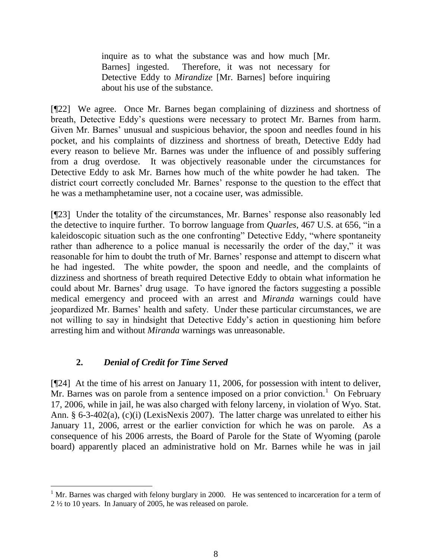inquire as to what the substance was and how much [Mr. Barnes] ingested. Therefore, it was not necessary for Detective Eddy to *Mirandize* [Mr. Barnes] before inquiring about his use of the substance.

[¶22] We agree. Once Mr. Barnes began complaining of dizziness and shortness of breath, Detective Eddy's questions were necessary to protect Mr. Barnes from harm. Given Mr. Barnes' unusual and suspicious behavior, the spoon and needles found in his pocket, and his complaints of dizziness and shortness of breath, Detective Eddy had every reason to believe Mr. Barnes was under the influence of and possibly suffering from a drug overdose. It was objectively reasonable under the circumstances for Detective Eddy to ask Mr. Barnes how much of the white powder he had taken. The district court correctly concluded Mr. Barnes' response to the question to the effect that he was a methamphetamine user, not a cocaine user, was admissible.

[¶23] Under the totality of the circumstances, Mr. Barnes' response also reasonably led the detective to inquire further. To borrow language from *Quarles*, 467 U.S. at 656, "in a kaleidoscopic situation such as the one confronting" Detective Eddy, "where spontaneity rather than adherence to a police manual is necessarily the order of the day," it was reasonable for him to doubt the truth of Mr. Barnes' response and attempt to discern what he had ingested. The white powder, the spoon and needle, and the complaints of dizziness and shortness of breath required Detective Eddy to obtain what information he could about Mr. Barnes' drug usage. To have ignored the factors suggesting a possible medical emergency and proceed with an arrest and *Miranda* warnings could have jeopardized Mr. Barnes' health and safety. Under these particular circumstances, we are not willing to say in hindsight that Detective Eddy's action in questioning him before arresting him and without *Miranda* warnings was unreasonable.

# **2.** *Denial of Credit for Time Served*

l

[¶24] At the time of his arrest on January 11, 2006, for possession with intent to deliver,  $Mr.$  Barnes was on parole from a sentence imposed on a prior conviction.<sup>1</sup> On February 17, 2006, while in jail, he was also charged with felony larceny, in violation of Wyo. Stat. Ann. § 6-3-402(a), (c)(i) (LexisNexis 2007). The latter charge was unrelated to either his January 11, 2006, arrest or the earlier conviction for which he was on parole. As a consequence of his 2006 arrests, the Board of Parole for the State of Wyoming (parole board) apparently placed an administrative hold on Mr. Barnes while he was in jail

 $<sup>1</sup>$  Mr. Barnes was charged with felony burglary in 2000. He was sentenced to incarceration for a term of</sup> 2 ½ to 10 years. In January of 2005, he was released on parole.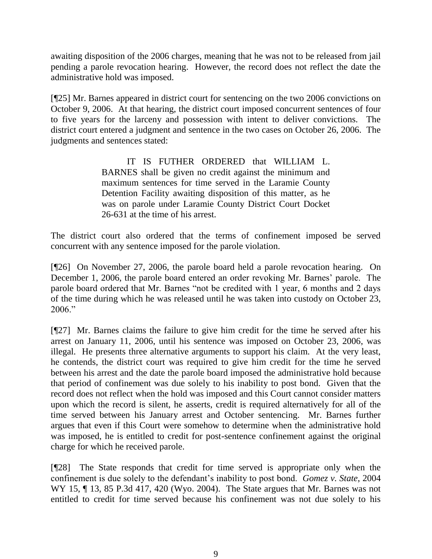awaiting disposition of the 2006 charges, meaning that he was not to be released from jail pending a parole revocation hearing. However, the record does not reflect the date the administrative hold was imposed.

[¶25] Mr. Barnes appeared in district court for sentencing on the two 2006 convictions on October 9, 2006. At that hearing, the district court imposed concurrent sentences of four to five years for the larceny and possession with intent to deliver convictions. The district court entered a judgment and sentence in the two cases on October 26, 2006. The judgments and sentences stated:

> IT IS FUTHER ORDERED that WILLIAM L. BARNES shall be given no credit against the minimum and maximum sentences for time served in the Laramie County Detention Facility awaiting disposition of this matter, as he was on parole under Laramie County District Court Docket 26-631 at the time of his arrest.

The district court also ordered that the terms of confinement imposed be served concurrent with any sentence imposed for the parole violation.

[¶26] On November 27, 2006, the parole board held a parole revocation hearing. On December 1, 2006, the parole board entered an order revoking Mr. Barnes' parole. The parole board ordered that Mr. Barnes "not be credited with 1 year, 6 months and 2 days of the time during which he was released until he was taken into custody on October 23,  $2006$ .

[¶27] Mr. Barnes claims the failure to give him credit for the time he served after his arrest on January 11, 2006, until his sentence was imposed on October 23, 2006, was illegal. He presents three alternative arguments to support his claim. At the very least, he contends, the district court was required to give him credit for the time he served between his arrest and the date the parole board imposed the administrative hold because that period of confinement was due solely to his inability to post bond. Given that the record does not reflect when the hold was imposed and this Court cannot consider matters upon which the record is silent, he asserts, credit is required alternatively for all of the time served between his January arrest and October sentencing. Mr. Barnes further argues that even if this Court were somehow to determine when the administrative hold was imposed, he is entitled to credit for post-sentence confinement against the original charge for which he received parole.

[¶28] The State responds that credit for time served is appropriate only when the confinement is due solely to the defendant's inability to post bond. *Gomez v. State*, 2004 WY 15, ¶ 13, 85 P.3d 417, 420 (Wyo. 2004). The State argues that Mr. Barnes was not entitled to credit for time served because his confinement was not due solely to his